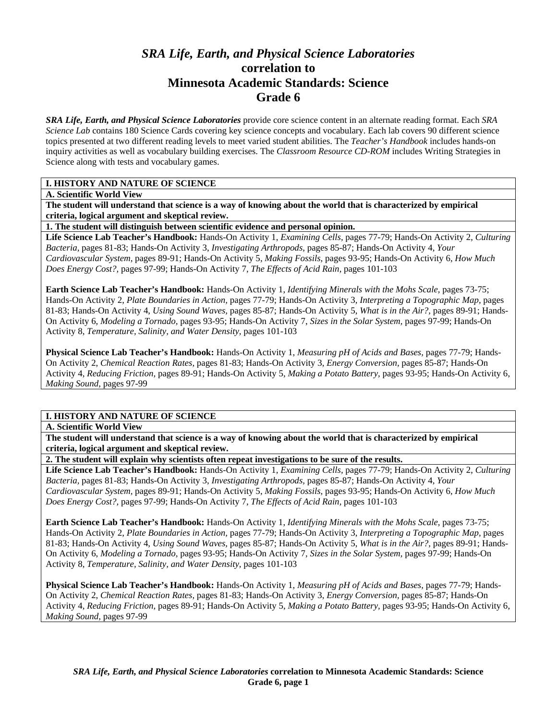# *SRA Life, Earth, and Physical Science Laboratories*  **correlation to Minnesota Academic Standards: Science Grade 6**

*SRA Life, Earth, and Physical Science Laboratories* provide core science content in an alternate reading format. Each *SRA Science Lab* contains 180 Science Cards covering key science concepts and vocabulary. Each lab covers 90 different science topics presented at two different reading levels to meet varied student abilities. The *Teacher's Handbook* includes hands-on inquiry activities as well as vocabulary building exercises. The *Classroom Resource CD-ROM* includes Writing Strategies in Science along with tests and vocabulary games.

## **I. HISTORY AND NATURE OF SCIENCE**

**A. Scientific World View** 

**The student will understand that science is a way of knowing about the world that is characterized by empirical criteria, logical argument and skeptical review.** 

**1. The student will distinguish between scientific evidence and personal opinion.** 

**Life Science Lab Teacher's Handbook:** Hands-On Activity 1, *Examining Cells,* pages 77-79; Hands-On Activity 2, *Culturing Bacteria,* pages 81-83; Hands-On Activity 3, *Investigating Arthropods,* pages 85-87; Hands-On Activity 4, *Your Cardiovascular System,* pages 89-91; Hands-On Activity 5, *Making Fossils,* pages 93-95; Hands-On Activity 6, *How Much Does Energy Cost?,* pages 97-99; Hands-On Activity 7, *The Effects of Acid Rain,* pages 101-103

**Earth Science Lab Teacher's Handbook:** Hands-On Activity 1, *Identifying Minerals with the Mohs Scale,* pages 73-75; Hands-On Activity 2, *Plate Boundaries in Action,* pages 77-79; Hands-On Activity 3, *Interpreting a Topographic Map,* pages 81-83; Hands-On Activity 4, *Using Sound Waves,* pages 85-87; Hands-On Activity 5, *What is in the Air?,* pages 89-91; Hands-On Activity 6, *Modeling a Tornado,* pages 93-95; Hands-On Activity 7, *Sizes in the Solar System,* pages 97-99; Hands-On Activity 8, *Temperature, Salinity, and Water Density,* pages 101-103

**Physical Science Lab Teacher's Handbook:** Hands-On Activity 1, *Measuring pH of Acids and Bases,* pages 77-79; Hands-On Activity 2, *Chemical Reaction Rates,* pages 81-83; Hands-On Activity 3, *Energy Conversion,* pages 85-87; Hands-On Activity 4, *Reducing Friction,* pages 89-91; Hands-On Activity 5, *Making a Potato Battery,* pages 93-95; Hands-On Activity 6, *Making Sound,* pages 97-99

# **I. HISTORY AND NATURE OF SCIENCE**

**A. Scientific World View** 

**The student will understand that science is a way of knowing about the world that is characterized by empirical criteria, logical argument and skeptical review.** 

**2. The student will explain why scientists often repeat investigations to be sure of the results.** 

**Life Science Lab Teacher's Handbook:** Hands-On Activity 1, *Examining Cells,* pages 77-79; Hands-On Activity 2, *Culturing Bacteria,* pages 81-83; Hands-On Activity 3, *Investigating Arthropods,* pages 85-87; Hands-On Activity 4, *Your Cardiovascular System,* pages 89-91; Hands-On Activity 5, *Making Fossils,* pages 93-95; Hands-On Activity 6, *How Much Does Energy Cost?,* pages 97-99; Hands-On Activity 7, *The Effects of Acid Rain,* pages 101-103

**Earth Science Lab Teacher's Handbook:** Hands-On Activity 1, *Identifying Minerals with the Mohs Scale,* pages 73-75; Hands-On Activity 2, *Plate Boundaries in Action,* pages 77-79; Hands-On Activity 3, *Interpreting a Topographic Map,* pages 81-83; Hands-On Activity 4, *Using Sound Waves,* pages 85-87; Hands-On Activity 5, *What is in the Air?,* pages 89-91; Hands-On Activity 6, *Modeling a Tornado,* pages 93-95; Hands-On Activity 7, *Sizes in the Solar System,* pages 97-99; Hands-On Activity 8, *Temperature, Salinity, and Water Density,* pages 101-103

**Physical Science Lab Teacher's Handbook:** Hands-On Activity 1, *Measuring pH of Acids and Bases,* pages 77-79; Hands-On Activity 2, *Chemical Reaction Rates,* pages 81-83; Hands-On Activity 3, *Energy Conversion,* pages 85-87; Hands-On Activity 4, *Reducing Friction,* pages 89-91; Hands-On Activity 5, *Making a Potato Battery,* pages 93-95; Hands-On Activity 6, *Making Sound,* pages 97-99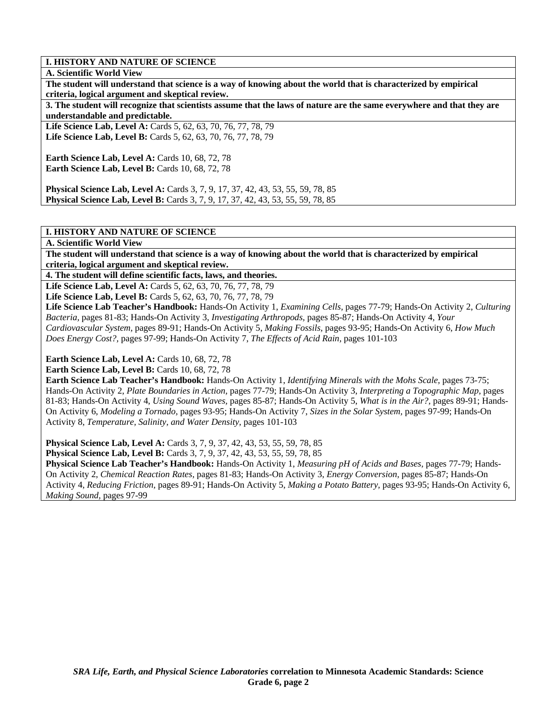#### **A. Scientific World View**

**The student will understand that science is a way of knowing about the world that is characterized by empirical criteria, logical argument and skeptical review.** 

**3. The student will recognize that scientists assume that the laws of nature are the same everywhere and that they are understandable and predictable.** 

**Life Science Lab, Level A:** Cards 5, 62, 63, 70, 76, 77, 78, 79 **Life Science Lab, Level B:** Cards 5, 62, 63, 70, 76, 77, 78, 79

**Earth Science Lab, Level A: Cards 10, 68, 72, 78 Earth Science Lab, Level B: Cards 10, 68, 72, 78** 

**Physical Science Lab, Level A:** Cards 3, 7, 9, 17, 37, 42, 43, 53, 55, 59, 78, 85 **Physical Science Lab, Level B:** Cards 3, 7, 9, 17, 37, 42, 43, 53, 55, 59, 78, 85

#### **I. HISTORY AND NATURE OF SCIENCE**

**A. Scientific World View** 

**The student will understand that science is a way of knowing about the world that is characterized by empirical criteria, logical argument and skeptical review.** 

**4. The student will define scientific facts, laws, and theories.** 

Life Science Lab, Level A: Cards 5, 62, 63, 70, 76, 77, 78, 79 Life Science Lab, Level B: Cards 5, 62, 63, 70, 76, 77, 78, 79

**Life Science Lab Teacher's Handbook:** Hands-On Activity 1, *Examining Cells,* pages 77-79; Hands-On Activity 2, *Culturing Bacteria,* pages 81-83; Hands-On Activity 3, *Investigating Arthropods,* pages 85-87; Hands-On Activity 4, *Your Cardiovascular System,* pages 89-91; Hands-On Activity 5, *Making Fossils,* pages 93-95; Hands-On Activity 6, *How Much Does Energy Cost?,* pages 97-99; Hands-On Activity 7, *The Effects of Acid Rain,* pages 101-103

**Earth Science Lab, Level A: Cards 10, 68, 72, 78** 

**Earth Science Lab, Level B: Cards 10, 68, 72, 78** 

**Earth Science Lab Teacher's Handbook:** Hands-On Activity 1, *Identifying Minerals with the Mohs Scale,* pages 73-75; Hands-On Activity 2, *Plate Boundaries in Action,* pages 77-79; Hands-On Activity 3, *Interpreting a Topographic Map,* pages 81-83; Hands-On Activity 4, *Using Sound Waves,* pages 85-87; Hands-On Activity 5, *What is in the Air?,* pages 89-91; Hands-On Activity 6, *Modeling a Tornado,* pages 93-95; Hands-On Activity 7, *Sizes in the Solar System,* pages 97-99; Hands-On Activity 8, *Temperature, Salinity, and Water Density,* pages 101-103

**Physical Science Lab, Level A:** Cards 3, 7, 9, 37, 42, 43, 53, 55, 59, 78, 85

**Physical Science Lab, Level B:** Cards 3, 7, 9, 37, 42, 43, 53, 55, 59, 78, 85

**Physical Science Lab Teacher's Handbook:** Hands-On Activity 1, *Measuring pH of Acids and Bases,* pages 77-79; Hands-On Activity 2, *Chemical Reaction Rates,* pages 81-83; Hands-On Activity 3, *Energy Conversion,* pages 85-87; Hands-On Activity 4, *Reducing Friction,* pages 89-91; Hands-On Activity 5, *Making a Potato Battery,* pages 93-95; Hands-On Activity 6, *Making Sound,* pages 97-99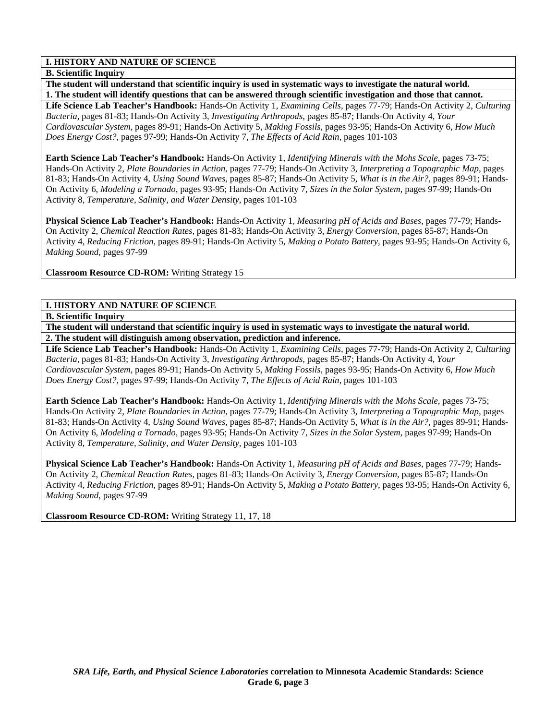**B. Scientific Inquiry** 

**The student will understand that scientific inquiry is used in systematic ways to investigate the natural world. 1. The student will identify questions that can be answered through scientific investigation and those that cannot.** 

**Life Science Lab Teacher's Handbook:** Hands-On Activity 1, *Examining Cells,* pages 77-79; Hands-On Activity 2, *Culturing Bacteria,* pages 81-83; Hands-On Activity 3, *Investigating Arthropods,* pages 85-87; Hands-On Activity 4, *Your Cardiovascular System,* pages 89-91; Hands-On Activity 5, *Making Fossils,* pages 93-95; Hands-On Activity 6, *How Much Does Energy Cost?,* pages 97-99; Hands-On Activity 7, *The Effects of Acid Rain,* pages 101-103

**Earth Science Lab Teacher's Handbook:** Hands-On Activity 1, *Identifying Minerals with the Mohs Scale,* pages 73-75; Hands-On Activity 2, *Plate Boundaries in Action,* pages 77-79; Hands-On Activity 3, *Interpreting a Topographic Map,* pages 81-83; Hands-On Activity 4, *Using Sound Waves,* pages 85-87; Hands-On Activity 5, *What is in the Air?,* pages 89-91; Hands-On Activity 6, *Modeling a Tornado,* pages 93-95; Hands-On Activity 7, *Sizes in the Solar System,* pages 97-99; Hands-On Activity 8, *Temperature, Salinity, and Water Density,* pages 101-103

**Physical Science Lab Teacher's Handbook:** Hands-On Activity 1, *Measuring pH of Acids and Bases,* pages 77-79; Hands-On Activity 2, *Chemical Reaction Rates,* pages 81-83; Hands-On Activity 3, *Energy Conversion,* pages 85-87; Hands-On Activity 4, *Reducing Friction,* pages 89-91; Hands-On Activity 5, *Making a Potato Battery,* pages 93-95; Hands-On Activity 6, *Making Sound,* pages 97-99

**Classroom Resource CD-ROM:** Writing Strategy 15

## **I. HISTORY AND NATURE OF SCIENCE**

**B. Scientific Inquiry** 

**The student will understand that scientific inquiry is used in systematic ways to investigate the natural world. 2. The student will distinguish among observation, prediction and inference.** 

**Life Science Lab Teacher's Handbook:** Hands-On Activity 1, *Examining Cells,* pages 77-79; Hands-On Activity 2, *Culturing Bacteria,* pages 81-83; Hands-On Activity 3, *Investigating Arthropods,* pages 85-87; Hands-On Activity 4, *Your Cardiovascular System,* pages 89-91; Hands-On Activity 5, *Making Fossils,* pages 93-95; Hands-On Activity 6, *How Much Does Energy Cost?,* pages 97-99; Hands-On Activity 7, *The Effects of Acid Rain,* pages 101-103

**Earth Science Lab Teacher's Handbook:** Hands-On Activity 1, *Identifying Minerals with the Mohs Scale,* pages 73-75; Hands-On Activity 2, *Plate Boundaries in Action,* pages 77-79; Hands-On Activity 3, *Interpreting a Topographic Map,* pages 81-83; Hands-On Activity 4, *Using Sound Waves,* pages 85-87; Hands-On Activity 5, *What is in the Air?,* pages 89-91; Hands-On Activity 6, *Modeling a Tornado,* pages 93-95; Hands-On Activity 7, *Sizes in the Solar System,* pages 97-99; Hands-On Activity 8, *Temperature, Salinity, and Water Density,* pages 101-103

**Physical Science Lab Teacher's Handbook:** Hands-On Activity 1, *Measuring pH of Acids and Bases,* pages 77-79; Hands-On Activity 2, *Chemical Reaction Rates,* pages 81-83; Hands-On Activity 3, *Energy Conversion,* pages 85-87; Hands-On Activity 4, *Reducing Friction,* pages 89-91; Hands-On Activity 5, *Making a Potato Battery,* pages 93-95; Hands-On Activity 6, *Making Sound,* pages 97-99

**Classroom Resource CD-ROM:** Writing Strategy 11, 17, 18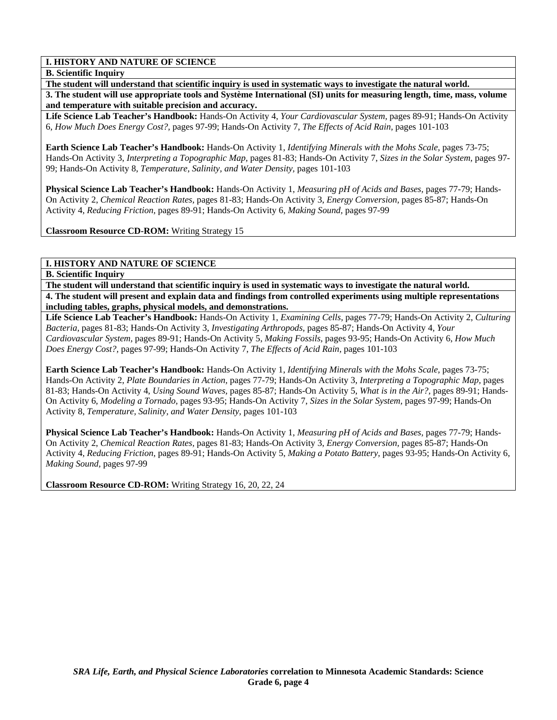#### **B. Scientific Inquiry**

**The student will understand that scientific inquiry is used in systematic ways to investigate the natural world. 3. The student will use appropriate tools and Système International (SI) units for measuring length, time, mass, volume and temperature with suitable precision and accuracy.** 

**Life Science Lab Teacher's Handbook:** Hands-On Activity 4, *Your Cardiovascular System,* pages 89-91; Hands-On Activity 6, *How Much Does Energy Cost?,* pages 97-99; Hands-On Activity 7, *The Effects of Acid Rain,* pages 101-103

**Earth Science Lab Teacher's Handbook:** Hands-On Activity 1, *Identifying Minerals with the Mohs Scale,* pages 73-75; Hands-On Activity 3, *Interpreting a Topographic Map,* pages 81-83; Hands-On Activity 7, *Sizes in the Solar System,* pages 97- 99; Hands-On Activity 8, *Temperature, Salinity, and Water Density,* pages 101-103

**Physical Science Lab Teacher's Handbook:** Hands-On Activity 1, *Measuring pH of Acids and Bases,* pages 77-79; Hands-On Activity 2, *Chemical Reaction Rates,* pages 81-83; Hands-On Activity 3, *Energy Conversion,* pages 85-87; Hands-On Activity 4, *Reducing Friction,* pages 89-91; Hands-On Activity 6, *Making Sound,* pages 97-99

**Classroom Resource CD-ROM:** Writing Strategy 15

#### **I. HISTORY AND NATURE OF SCIENCE**

#### **B. Scientific Inquiry**

**The student will understand that scientific inquiry is used in systematic ways to investigate the natural world. 4. The student will present and explain data and findings from controlled experiments using multiple representations including tables, graphs, physical models, and demonstrations.** 

**Life Science Lab Teacher's Handbook:** Hands-On Activity 1, *Examining Cells,* pages 77-79; Hands-On Activity 2, *Culturing Bacteria,* pages 81-83; Hands-On Activity 3, *Investigating Arthropods,* pages 85-87; Hands-On Activity 4, *Your Cardiovascular System,* pages 89-91; Hands-On Activity 5, *Making Fossils,* pages 93-95; Hands-On Activity 6, *How Much Does Energy Cost?,* pages 97-99; Hands-On Activity 7, *The Effects of Acid Rain,* pages 101-103

**Earth Science Lab Teacher's Handbook:** Hands-On Activity 1, *Identifying Minerals with the Mohs Scale,* pages 73-75; Hands-On Activity 2, *Plate Boundaries in Action,* pages 77-79; Hands-On Activity 3, *Interpreting a Topographic Map,* pages 81-83; Hands-On Activity 4, *Using Sound Waves,* pages 85-87; Hands-On Activity 5, *What is in the Air?,* pages 89-91; Hands-On Activity 6, *Modeling a Tornado,* pages 93-95; Hands-On Activity 7, *Sizes in the Solar System,* pages 97-99; Hands-On Activity 8, *Temperature, Salinity, and Water Density,* pages 101-103

**Physical Science Lab Teacher's Handbook:** Hands-On Activity 1, *Measuring pH of Acids and Bases,* pages 77-79; Hands-On Activity 2, *Chemical Reaction Rates,* pages 81-83; Hands-On Activity 3, *Energy Conversion,* pages 85-87; Hands-On Activity 4, *Reducing Friction,* pages 89-91; Hands-On Activity 5, *Making a Potato Battery,* pages 93-95; Hands-On Activity 6, *Making Sound,* pages 97-99

**Classroom Resource CD-ROM:** Writing Strategy 16, 20, 22, 24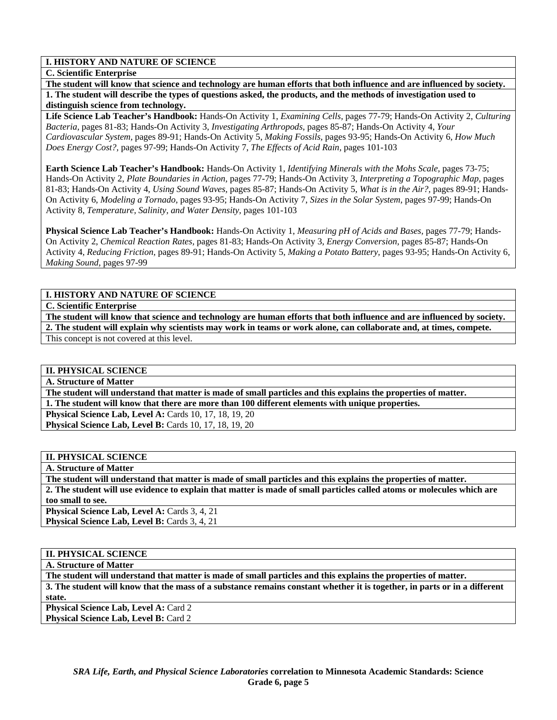#### **C. Scientific Enterprise**

**The student will know that science and technology are human efforts that both influence and are influenced by society. 1. The student will describe the types of questions asked, the products, and the methods of investigation used to distinguish science from technology.** 

**Life Science Lab Teacher's Handbook:** Hands-On Activity 1, *Examining Cells,* pages 77-79; Hands-On Activity 2, *Culturing Bacteria,* pages 81-83; Hands-On Activity 3, *Investigating Arthropods,* pages 85-87; Hands-On Activity 4, *Your Cardiovascular System,* pages 89-91; Hands-On Activity 5, *Making Fossils,* pages 93-95; Hands-On Activity 6, *How Much Does Energy Cost?,* pages 97-99; Hands-On Activity 7, *The Effects of Acid Rain,* pages 101-103

**Earth Science Lab Teacher's Handbook:** Hands-On Activity 1, *Identifying Minerals with the Mohs Scale,* pages 73-75; Hands-On Activity 2, *Plate Boundaries in Action,* pages 77-79; Hands-On Activity 3, *Interpreting a Topographic Map,* pages 81-83; Hands-On Activity 4, *Using Sound Waves,* pages 85-87; Hands-On Activity 5, *What is in the Air?,* pages 89-91; Hands-On Activity 6, *Modeling a Tornado,* pages 93-95; Hands-On Activity 7, *Sizes in the Solar System,* pages 97-99; Hands-On Activity 8, *Temperature, Salinity, and Water Density,* pages 101-103

**Physical Science Lab Teacher's Handbook:** Hands-On Activity 1, *Measuring pH of Acids and Bases,* pages 77-79; Hands-On Activity 2, *Chemical Reaction Rates,* pages 81-83; Hands-On Activity 3, *Energy Conversion,* pages 85-87; Hands-On Activity 4, *Reducing Friction,* pages 89-91; Hands-On Activity 5, *Making a Potato Battery,* pages 93-95; Hands-On Activity 6, *Making Sound,* pages 97-99

# **I. HISTORY AND NATURE OF SCIENCE**

**C. Scientific Enterprise** 

**The student will know that science and technology are human efforts that both influence and are influenced by society. 2. The student will explain why scientists may work in teams or work alone, can collaborate and, at times, compete.**  This concept is not covered at this level.

# **II. PHYSICAL SCIENCE**

**A. Structure of Matter** 

**The student will understand that matter is made of small particles and this explains the properties of matter.** 

**1. The student will know that there are more than 100 different elements with unique properties.** 

**Physical Science Lab, Level A: Cards 10, 17, 18, 19, 20 Physical Science Lab, Level B: Cards 10, 17, 18, 19, 20** 

#### **II. PHYSICAL SCIENCE**

**A. Structure of Matter** 

**The student will understand that matter is made of small particles and this explains the properties of matter. 2. The student will use evidence to explain that matter is made of small particles called atoms or molecules which are too small to see.** 

**Physical Science Lab, Level A: Cards 3, 4, 21 Physical Science Lab, Level B: Cards 3, 4, 21** 

## **II. PHYSICAL SCIENCE**

**A. Structure of Matter** 

**The student will understand that matter is made of small particles and this explains the properties of matter. 3. The student will know that the mass of a substance remains constant whether it is together, in parts or in a different state. Physical Science Lab, Level A: Card 2** 

**Physical Science Lab, Level B: Card 2**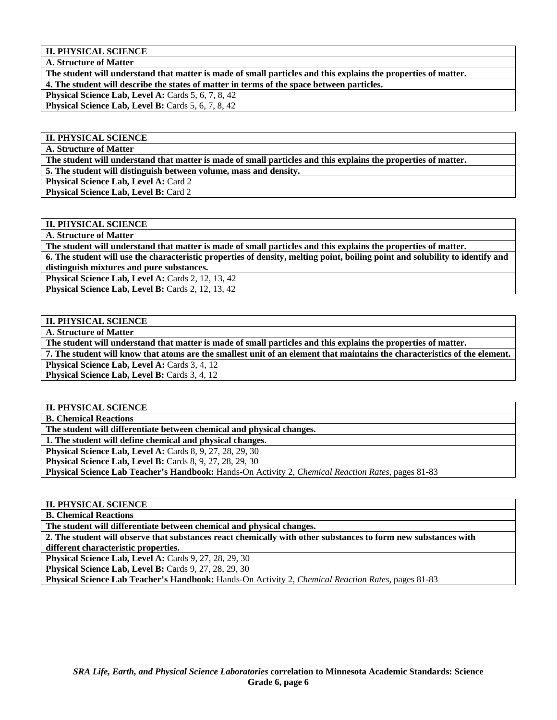**II. PHYSICAL SCIENCE** 

**A. Structure of Matter** 

**The student will understand that matter is made of small particles and this explains the properties of matter. 4. The student will describe the states of matter in terms of the space between particles.** 

**Physical Science Lab, Level A: Cards 5, 6, 7, 8, 42** 

**Physical Science Lab, Level B: Cards 5, 6, 7, 8, 42** 

#### **II. PHYSICAL SCIENCE**

**A. Structure of Matter** 

**The student will understand that matter is made of small particles and this explains the properties of matter.** 

**5. The student will distinguish between volume, mass and density.** 

**Physical Science Lab, Level A: Card 2** Physical Science Lab, Level B: Card 2

# **II. PHYSICAL SCIENCE**

**A. Structure of Matter** 

**The student will understand that matter is made of small particles and this explains the properties of matter. 6. The student will use the characteristic properties of density, melting point, boiling point and solubility to identify and distinguish mixtures and pure substances.** 

**Physical Science Lab, Level A: Cards 2, 12, 13, 42** 

**Physical Science Lab, Level B: Cards 2, 12, 13, 42** 

## **II. PHYSICAL SCIENCE**

**A. Structure of Matter** 

**The student will understand that matter is made of small particles and this explains the properties of matter.** 

**7. The student will know that atoms are the smallest unit of an element that maintains the characteristics of the element. Physical Science Lab, Level A: Cards 3, 4, 12** 

Physical Science Lab, Level B: Cards 3, 4, 12

# **II. PHYSICAL SCIENCE**

**B. Chemical Reactions** 

**The student will differentiate between chemical and physical changes.** 

**1. The student will define chemical and physical changes.** 

**Physical Science Lab, Level A: Cards 8, 9, 27, 28, 29, 30** 

**Physical Science Lab, Level B:** Cards 8, 9, 27, 28, 29, 30

**Physical Science Lab Teacher's Handbook:** Hands-On Activity 2, *Chemical Reaction Rates,* pages 81-83

### **II. PHYSICAL SCIENCE**

**B. Chemical Reactions** 

**The student will differentiate between chemical and physical changes.** 

**2. The student will observe that substances react chemically with other substances to form new substances with different characteristic properties.** 

**Physical Science Lab, Level A: Cards 9, 27, 28, 29, 30** 

**Physical Science Lab, Level B: Cards 9, 27, 28, 29, 30** 

**Physical Science Lab Teacher's Handbook:** Hands-On Activity 2, *Chemical Reaction Rates,* pages 81-83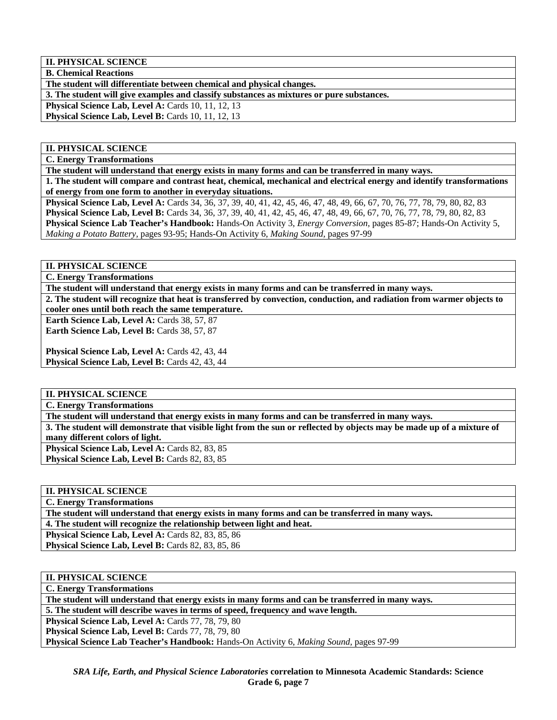**II. PHYSICAL SCIENCE** 

**B. Chemical Reactions** 

**The student will differentiate between chemical and physical changes.** 

**3. The student will give examples and classify substances as mixtures or pure substances.** 

**Physical Science Lab, Level A: Cards 10, 11, 12, 13** 

Physical Science Lab, Level B: Cards 10, 11, 12, 13

## **II. PHYSICAL SCIENCE**

**C. Energy Transformations** 

**The student will understand that energy exists in many forms and can be transferred in many ways.** 

**1. The student will compare and contrast heat, chemical, mechanical and electrical energy and identify transformations of energy from one form to another in everyday situations.** 

**Physical Science Lab, Level A:** Cards 34, 36, 37, 39, 40, 41, 42, 45, 46, 47, 48, 49, 66, 67, 70, 76, 77, 78, 79, 80, 82, 83 **Physical Science Lab, Level B:** Cards 34, 36, 37, 39, 40, 41, 42, 45, 46, 47, 48, 49, 66, 67, 70, 76, 77, 78, 79, 80, 82, 83 **Physical Science Lab Teacher's Handbook:** Hands-On Activity 3, *Energy Conversion,* pages 85-87; Hands-On Activity 5, *Making a Potato Battery,* pages 93-95; Hands-On Activity 6, *Making Sound,* pages 97-99

#### **II. PHYSICAL SCIENCE**

**C. Energy Transformations** 

**The student will understand that energy exists in many forms and can be transferred in many ways.** 

**2. The student will recognize that heat is transferred by convection, conduction, and radiation from warmer objects to cooler ones until both reach the same temperature.** 

Earth Science Lab, Level A: Cards 38, 57, 87 Earth Science Lab, Level B: Cards 38, 57, 87

Physical Science Lab, Level A: Cards 42, 43, 44

**Physical Science Lab, Level B: Cards 42, 43, 44** 

## **II. PHYSICAL SCIENCE**

**C. Energy Transformations** 

**The student will understand that energy exists in many forms and can be transferred in many ways.** 

**3. The student will demonstrate that visible light from the sun or reflected by objects may be made up of a mixture of many different colors of light.** 

Physical Science Lab, Level A: Cards 82, 83, 85 **Physical Science Lab, Level B: Cards 82, 83, 85** 

# **II. PHYSICAL SCIENCE**

**C. Energy Transformations** 

**The student will understand that energy exists in many forms and can be transferred in many ways.** 

**4. The student will recognize the relationship between light and heat.** 

**Physical Science Lab, Level A:** Cards 82, 83, 85, 86

**Physical Science Lab, Level B:** Cards 82, 83, 85, 86

#### **II. PHYSICAL SCIENCE**

**C. Energy Transformations** 

**The student will understand that energy exists in many forms and can be transferred in many ways.** 

**5. The student will describe waves in terms of speed, frequency and wave length.** 

**Physical Science Lab, Level A: Cards 77, 78, 79, 80** 

**Physical Science Lab, Level B: Cards 77, 78, 79, 80** 

**Physical Science Lab Teacher's Handbook:** Hands-On Activity 6, *Making Sound,* pages 97-99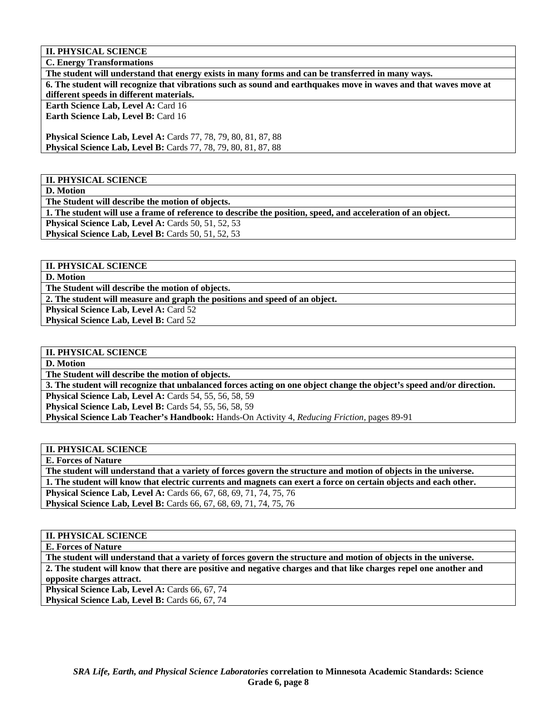**II. PHYSICAL SCIENCE** 

**C. Energy Transformations** 

**The student will understand that energy exists in many forms and can be transferred in many ways. 6. The student will recognize that vibrations such as sound and earthquakes move in waves and that waves move at different speeds in different materials. Earth Science Lab, Level A: Card 16** Earth Science Lab, Level B: Card 16 **Physical Science Lab, Level A:** Cards 77, 78, 79, 80, 81, 87, 88 **Physical Science Lab, Level B:** Cards 77, 78, 79, 80, 81, 87, 88

**II. PHYSICAL SCIENCE** 

**D. Motion** 

**The Student will describe the motion of objects.** 

**1. The student will use a frame of reference to describe the position, speed, and acceleration of an object.** 

**Physical Science Lab, Level A: Cards 50, 51, 52, 53** 

**Physical Science Lab, Level B: Cards 50, 51, 52, 53** 

**II. PHYSICAL SCIENCE** 

**D. Motion** 

**The Student will describe the motion of objects.** 

**2. The student will measure and graph the positions and speed of an object.** 

**Physical Science Lab, Level A: Card 52** 

Physical Science Lab, Level B: Card 52

#### **II. PHYSICAL SCIENCE**

**D. Motion** 

**The Student will describe the motion of objects.** 

**3. The student will recognize that unbalanced forces acting on one object change the object's speed and/or direction.** 

**Physical Science Lab, Level A: Cards 54, 55, 56, 58, 59** 

**Physical Science Lab, Level B:** Cards 54, 55, 56, 58, 59

**Physical Science Lab Teacher's Handbook:** Hands-On Activity 4, *Reducing Friction,* pages 89-91

# **II. PHYSICAL SCIENCE**

**E. Forces of Nature** 

**The student will understand that a variety of forces govern the structure and motion of objects in the universe. 1. The student will know that electric currents and magnets can exert a force on certain objects and each other.** 

**Physical Science Lab, Level A:** Cards 66, 67, 68, 69, 71, 74, 75, 76

**Physical Science Lab, Level B:** Cards 66, 67, 68, 69, 71, 74, 75, 76

## **II. PHYSICAL SCIENCE**

**E. Forces of Nature** 

**The student will understand that a variety of forces govern the structure and motion of objects in the universe. 2. The student will know that there are positive and negative charges and that like charges repel one another and opposite charges attract.** 

Physical Science Lab, Level A: Cards 66, 67, 74

Physical Science Lab, Level B: Cards 66, 67, 74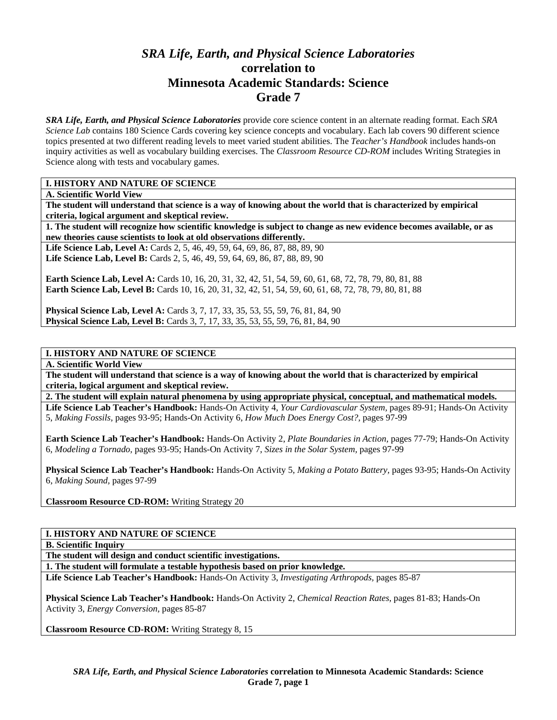# *SRA Life, Earth, and Physical Science Laboratories*  **correlation to Minnesota Academic Standards: Science Grade 7**

*SRA Life, Earth, and Physical Science Laboratories* provide core science content in an alternate reading format. Each *SRA Science Lab* contains 180 Science Cards covering key science concepts and vocabulary. Each lab covers 90 different science topics presented at two different reading levels to meet varied student abilities. The *Teacher's Handbook* includes hands-on inquiry activities as well as vocabulary building exercises. The *Classroom Resource CD-ROM* includes Writing Strategies in Science along with tests and vocabulary games.

### **I. HISTORY AND NATURE OF SCIENCE**

**A. Scientific World View** 

**The student will understand that science is a way of knowing about the world that is characterized by empirical criteria, logical argument and skeptical review.** 

**1. The student will recognize how scientific knowledge is subject to change as new evidence becomes available, or as new theories cause scientists to look at old observations differently.** 

Life Science Lab, Level A: Cards 2, 5, 46, 49, 59, 64, 69, 86, 87, 88, 89, 90 **Life Science Lab, Level B:** Cards 2, 5, 46, 49, 59, 64, 69, 86, 87, 88, 89, 90

**Earth Science Lab, Level A:** Cards 10, 16, 20, 31, 32, 42, 51, 54, 59, 60, 61, 68, 72, 78, 79, 80, 81, 88 **Earth Science Lab, Level B:** Cards 10, 16, 20, 31, 32, 42, 51, 54, 59, 60, 61, 68, 72, 78, 79, 80, 81, 88

**Physical Science Lab, Level A:** Cards 3, 7, 17, 33, 35, 53, 55, 59, 76, 81, 84, 90 **Physical Science Lab, Level B:** Cards 3, 7, 17, 33, 35, 53, 55, 59, 76, 81, 84, 90

## **I. HISTORY AND NATURE OF SCIENCE**

**A. Scientific World View** 

**The student will understand that science is a way of knowing about the world that is characterized by empirical criteria, logical argument and skeptical review.** 

**2. The student will explain natural phenomena by using appropriate physical, conceptual, and mathematical models.** 

**Life Science Lab Teacher's Handbook:** Hands-On Activity 4, *Your Cardiovascular System,* pages 89-91; Hands-On Activity 5, *Making Fossils,* pages 93-95; Hands-On Activity 6, *How Much Does Energy Cost?,* pages 97-99

**Earth Science Lab Teacher's Handbook:** Hands-On Activity 2, *Plate Boundaries in Action,* pages 77-79; Hands-On Activity 6, *Modeling a Tornado,* pages 93-95; Hands-On Activity 7, *Sizes in the Solar System,* pages 97-99

**Physical Science Lab Teacher's Handbook:** Hands-On Activity 5, *Making a Potato Battery,* pages 93-95; Hands-On Activity 6, *Making Sound,* pages 97-99

**Classroom Resource CD-ROM:** Writing Strategy 20

#### **I. HISTORY AND NATURE OF SCIENCE**

**B. Scientific Inquiry** 

**The student will design and conduct scientific investigations.** 

**1. The student will formulate a testable hypothesis based on prior knowledge.** 

**Life Science Lab Teacher's Handbook:** Hands-On Activity 3, *Investigating Arthropods,* pages 85-87

**Physical Science Lab Teacher's Handbook:** Hands-On Activity 2, *Chemical Reaction Rates,* pages 81-83; Hands-On Activity 3, *Energy Conversion,* pages 85-87

**Classroom Resource CD-ROM:** Writing Strategy 8, 15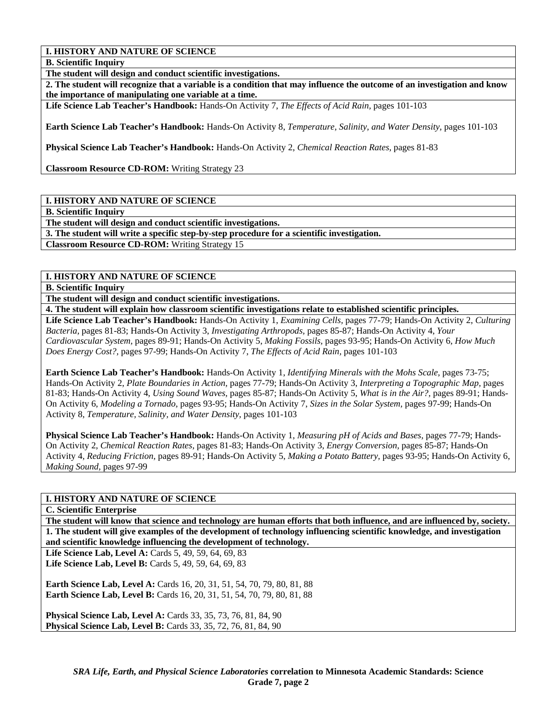**B. Scientific Inquiry** 

**The student will design and conduct scientific investigations.** 

**2. The student will recognize that a variable is a condition that may influence the outcome of an investigation and know the importance of manipulating one variable at a time.** 

**Life Science Lab Teacher's Handbook:** Hands-On Activity 7, *The Effects of Acid Rain,* pages 101-103

**Earth Science Lab Teacher's Handbook:** Hands-On Activity 8, *Temperature, Salinity, and Water Density,* pages 101-103

**Physical Science Lab Teacher's Handbook:** Hands-On Activity 2, *Chemical Reaction Rates,* pages 81-83

**Classroom Resource CD-ROM:** Writing Strategy 23

## **I. HISTORY AND NATURE OF SCIENCE**

**B. Scientific Inquiry** 

**The student will design and conduct scientific investigations.** 

**3. The student will write a specific step-by-step procedure for a scientific investigation.** 

**Classroom Resource CD-ROM:** Writing Strategy 15

#### **I. HISTORY AND NATURE OF SCIENCE**

**B. Scientific Inquiry** 

**The student will design and conduct scientific investigations.** 

**4. The student will explain how classroom scientific investigations relate to established scientific principles.** 

**Life Science Lab Teacher's Handbook:** Hands-On Activity 1, *Examining Cells,* pages 77-79; Hands-On Activity 2, *Culturing Bacteria,* pages 81-83; Hands-On Activity 3, *Investigating Arthropods,* pages 85-87; Hands-On Activity 4, *Your Cardiovascular System,* pages 89-91; Hands-On Activity 5, *Making Fossils,* pages 93-95; Hands-On Activity 6, *How Much Does Energy Cost?,* pages 97-99; Hands-On Activity 7, *The Effects of Acid Rain,* pages 101-103

**Earth Science Lab Teacher's Handbook:** Hands-On Activity 1, *Identifying Minerals with the Mohs Scale,* pages 73-75; Hands-On Activity 2, *Plate Boundaries in Action,* pages 77-79; Hands-On Activity 3, *Interpreting a Topographic Map,* pages 81-83; Hands-On Activity 4, *Using Sound Waves,* pages 85-87; Hands-On Activity 5, *What is in the Air?,* pages 89-91; Hands-On Activity 6, *Modeling a Tornado,* pages 93-95; Hands-On Activity 7, *Sizes in the Solar System,* pages 97-99; Hands-On Activity 8, *Temperature, Salinity, and Water Density,* pages 101-103

**Physical Science Lab Teacher's Handbook:** Hands-On Activity 1, *Measuring pH of Acids and Bases,* pages 77-79; Hands-On Activity 2, *Chemical Reaction Rates,* pages 81-83; Hands-On Activity 3, *Energy Conversion,* pages 85-87; Hands-On Activity 4, *Reducing Friction,* pages 89-91; Hands-On Activity 5, *Making a Potato Battery,* pages 93-95; Hands-On Activity 6, *Making Sound,* pages 97-99

#### **I. HISTORY AND NATURE OF SCIENCE**

**C. Scientific Enterprise** 

**The student will know that science and technology are human efforts that both influence, and are influenced by, society. 1. The student will give examples of the development of technology influencing scientific knowledge, and investigation and scientific knowledge influencing the development of technology.** 

**Life Science Lab, Level A: Cards 5, 49, 59, 64, 69, 83 Life Science Lab, Level B:** Cards 5, 49, 59, 64, 69, 83

**Earth Science Lab, Level A: Cards 16, 20, 31, 51, 54, 70, 79, 80, 81, 88 Earth Science Lab, Level B:** Cards 16, 20, 31, 51, 54, 70, 79, 80, 81, 88

**Physical Science Lab, Level A:** Cards 33, 35, 73, 76, 81, 84, 90 **Physical Science Lab, Level B:** Cards 33, 35, 72, 76, 81, 84, 90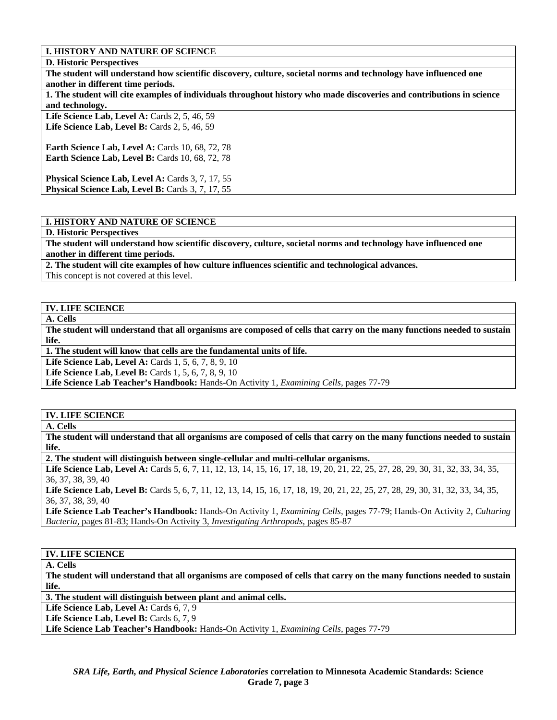#### **D. Historic Perspectives**

**The student will understand how scientific discovery, culture, societal norms and technology have influenced one another in different time periods.** 

**1. The student will cite examples of individuals throughout history who made discoveries and contributions in science and technology.** 

Life Science Lab, Level A: Cards 2, 5, 46, 59 Life Science Lab, Level B: Cards 2, 5, 46, 59

**Earth Science Lab, Level A: Cards 10, 68, 72, 78 Earth Science Lab, Level B: Cards 10, 68, 72, 78** 

Physical Science Lab, Level A: Cards 3, 7, 17, 55 Physical Science Lab, Level B: Cards 3, 7, 17, 55

# **I. HISTORY AND NATURE OF SCIENCE**

#### **D. Historic Perspectives**

**The student will understand how scientific discovery, culture, societal norms and technology have influenced one another in different time periods.** 

**2. The student will cite examples of how culture influences scientific and technological advances.** 

This concept is not covered at this level.

#### **IV. LIFE SCIENCE**

**A. Cells** 

**The student will understand that all organisms are composed of cells that carry on the many functions needed to sustain life.** 

**1. The student will know that cells are the fundamental units of life.** 

**Life Science Lab, Level A: Cards 1, 5, 6, 7, 8, 9, 10** 

**Life Science Lab, Level B:** Cards 1, 5, 6, 7, 8, 9, 10

**Life Science Lab Teacher's Handbook:** Hands-On Activity 1, *Examining Cells,* pages 77-79

#### **IV. LIFE SCIENCE**

**A. Cells** 

**The student will understand that all organisms are composed of cells that carry on the many functions needed to sustain life.** 

**2. The student will distinguish between single-cellular and multi-cellular organisms.** 

Life Science Lab, Level A: Cards 5, 6, 7, 11, 12, 13, 14, 15, 16, 17, 18, 19, 20, 21, 22, 25, 27, 28, 29, 30, 31, 32, 33, 34, 35, 36, 37, 38, 39, 40

Life Science Lab, Level B: Cards 5, 6, 7, 11, 12, 13, 14, 15, 16, 17, 18, 19, 20, 21, 22, 25, 27, 28, 29, 30, 31, 32, 33, 34, 35, 36, 37, 38, 39, 40

**Life Science Lab Teacher's Handbook:** Hands-On Activity 1, *Examining Cells,* pages 77-79; Hands-On Activity 2, *Culturing Bacteria,* pages 81-83; Hands-On Activity 3, *Investigating Arthropods,* pages 85-87

#### **IV. LIFE SCIENCE**

**A. Cells** 

**The student will understand that all organisms are composed of cells that carry on the many functions needed to sustain life.** 

**3. The student will distinguish between plant and animal cells.** 

Life Science Lab, Level A: Cards 6, 7, 9

Life Science Lab, Level B: Cards 6, 7, 9

**Life Science Lab Teacher's Handbook:** Hands-On Activity 1, *Examining Cells,* pages 77-79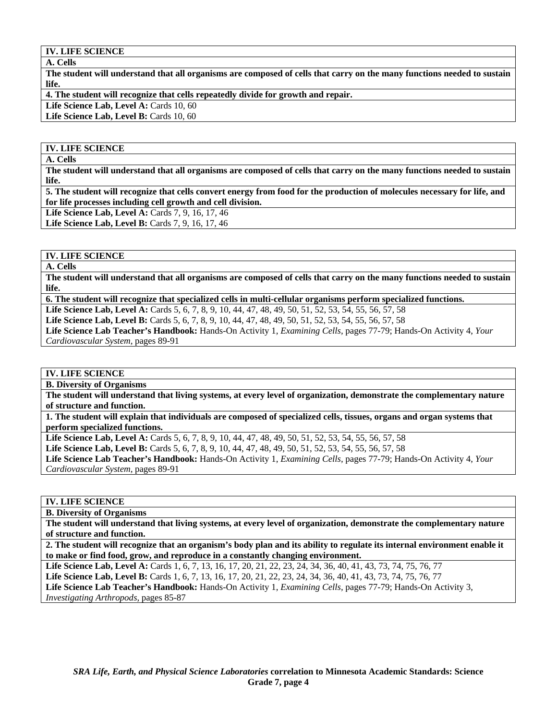#### **A. Cells**

**The student will understand that all organisms are composed of cells that carry on the many functions needed to sustain life.** 

**4. The student will recognize that cells repeatedly divide for growth and repair.** 

Life Science Lab, Level A: Cards 10, 60

Life Science Lab, Level B: Cards 10, 60

### **IV. LIFE SCIENCE**

**A. Cells** 

**The student will understand that all organisms are composed of cells that carry on the many functions needed to sustain life.** 

**5. The student will recognize that cells convert energy from food for the production of molecules necessary for life, and for life processes including cell growth and cell division.** 

**Life Science Lab, Level A: Cards 7, 9, 16, 17, 46** 

**Life Science Lab, Level B:** Cards 7, 9, 16, 17, 46

# **IV. LIFE SCIENCE**

**A. Cells** 

**The student will understand that all organisms are composed of cells that carry on the many functions needed to sustain life.** 

**6. The student will recognize that specialized cells in multi-cellular organisms perform specialized functions.** 

**Life Science Lab, Level A:** Cards 5, 6, 7, 8, 9, 10, 44, 47, 48, 49, 50, 51, 52, 53, 54, 55, 56, 57, 58

**Life Science Lab, Level B:** Cards 5, 6, 7, 8, 9, 10, 44, 47, 48, 49, 50, 51, 52, 53, 54, 55, 56, 57, 58

**Life Science Lab Teacher's Handbook:** Hands-On Activity 1, *Examining Cells,* pages 77-79; Hands-On Activity 4, *Your Cardiovascular System,* pages 89-91

## **IV. LIFE SCIENCE**

**B. Diversity of Organisms** 

**The student will understand that living systems, at every level of organization, demonstrate the complementary nature of structure and function.** 

**1. The student will explain that individuals are composed of specialized cells, tissues, organs and organ systems that perform specialized functions.** 

**Life Science Lab, Level A:** Cards 5, 6, 7, 8, 9, 10, 44, 47, 48, 49, 50, 51, 52, 53, 54, 55, 56, 57, 58

**Life Science Lab, Level B:** Cards 5, 6, 7, 8, 9, 10, 44, 47, 48, 49, 50, 51, 52, 53, 54, 55, 56, 57, 58

**Life Science Lab Teacher's Handbook:** Hands-On Activity 1, *Examining Cells,* pages 77-79; Hands-On Activity 4, *Your Cardiovascular System,* pages 89-91

#### **IV. LIFE SCIENCE**

**B. Diversity of Organisms** 

**The student will understand that living systems, at every level of organization, demonstrate the complementary nature of structure and function.** 

**2. The student will recognize that an organism's body plan and its ability to regulate its internal environment enable it to make or find food, grow, and reproduce in a constantly changing environment.** 

Life Science Lab, Level A: Cards 1, 6, 7, 13, 16, 17, 20, 21, 22, 23, 24, 34, 36, 40, 41, 43, 73, 74, 75, 76, 77 **Life Science Lab, Level B:** Cards 1, 6, 7, 13, 16, 17, 20, 21, 22, 23, 24, 34, 36, 40, 41, 43, 73, 74, 75, 76, 77 **Life Science Lab Teacher's Handbook:** Hands-On Activity 1, *Examining Cells,* pages 77-79; Hands-On Activity 3, *Investigating Arthropods,* pages 85-87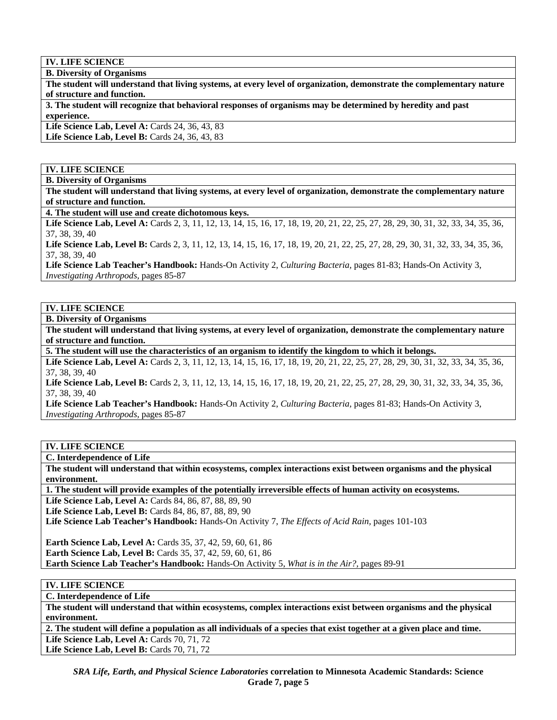**B. Diversity of Organisms** 

**The student will understand that living systems, at every level of organization, demonstrate the complementary nature of structure and function.** 

**3. The student will recognize that behavioral responses of organisms may be determined by heredity and past experience.** 

Life Science Lab, Level A: Cards 24, 36, 43, 83

**Life Science Lab, Level B: Cards 24, 36, 43, 83** 

**IV. LIFE SCIENCE** 

**B. Diversity of Organisms** 

**The student will understand that living systems, at every level of organization, demonstrate the complementary nature of structure and function.** 

**4. The student will use and create dichotomous keys.** 

Life Science Lab, Level A: Cards 2, 3, 11, 12, 13, 14, 15, 16, 17, 18, 19, 20, 21, 22, 25, 27, 28, 29, 30, 31, 32, 33, 34, 35, 36, 37, 38, 39, 40

Life Science Lab, Level B: Cards 2, 3, 11, 12, 13, 14, 15, 16, 17, 18, 19, 20, 21, 22, 25, 27, 28, 29, 30, 31, 32, 33, 34, 35, 36, 37, 38, 39, 40

**Life Science Lab Teacher's Handbook:** Hands-On Activity 2, *Culturing Bacteria,* pages 81-83; Hands-On Activity 3, *Investigating Arthropods,* pages 85-87

## **IV. LIFE SCIENCE**

**B. Diversity of Organisms** 

**The student will understand that living systems, at every level of organization, demonstrate the complementary nature of structure and function.** 

**5. The student will use the characteristics of an organism to identify the kingdom to which it belongs.** 

Life Science Lab, Level A: Cards 2, 3, 11, 12, 13, 14, 15, 16, 17, 18, 19, 20, 21, 22, 25, 27, 28, 29, 30, 31, 32, 33, 34, 35, 36, 37, 38, 39, 40

Life Science Lab, Level B: Cards 2, 3, 11, 12, 13, 14, 15, 16, 17, 18, 19, 20, 21, 22, 25, 27, 28, 29, 30, 31, 32, 33, 34, 35, 36, 37, 38, 39, 40

**Life Science Lab Teacher's Handbook:** Hands-On Activity 2, *Culturing Bacteria,* pages 81-83; Hands-On Activity 3, *Investigating Arthropods,* pages 85-87

# **IV. LIFE SCIENCE**

**C. Interdependence of Life** 

**The student will understand that within ecosystems, complex interactions exist between organisms and the physical environment.** 

**1. The student will provide examples of the potentially irreversible effects of human activity on ecosystems.** 

Life Science Lab, Level A: Cards 84, 86, 87, 88, 89, 90 Life Science Lab, Level B: Cards 84, 86, 87, 88, 89, 90 **Life Science Lab Teacher's Handbook:** Hands-On Activity 7, *The Effects of Acid Rain,* pages 101-103 **Earth Science Lab, Level A:** Cards 35, 37, 42, 59, 60, 61, 86 **Earth Science Lab, Level B:** Cards 35, 37, 42, 59, 60, 61, 86

**Earth Science Lab Teacher's Handbook:** Hands-On Activity 5, *What is in the Air?,* pages 89-91

# **IV. LIFE SCIENCE**

**C. Interdependence of Life** 

**The student will understand that within ecosystems, complex interactions exist between organisms and the physical environment.** 

**2. The student will define a population as all individuals of a species that exist together at a given place and time.** 

Life Science Lab, Level A: Cards 70, 71, 72 Life Science Lab, Level B: Cards 70, 71, 72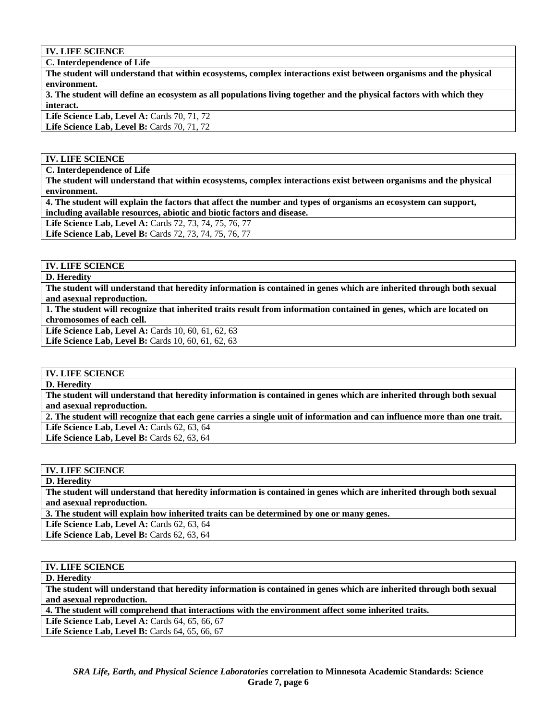**C. Interdependence of Life** 

**The student will understand that within ecosystems, complex interactions exist between organisms and the physical environment.** 

**3. The student will define an ecosystem as all populations living together and the physical factors with which they interact.** 

Life Science Lab, Level A: Cards 70, 71, 72 Life Science Lab, Level B: Cards 70, 71, 72

#### **IV. LIFE SCIENCE**

**C. Interdependence of Life** 

**The student will understand that within ecosystems, complex interactions exist between organisms and the physical environment.** 

**4. The student will explain the factors that affect the number and types of organisms an ecosystem can support, including available resources, abiotic and biotic factors and disease.** 

**Life Science Lab, Level A:** Cards 72, 73, 74, 75, 76, 77

**Life Science Lab, Level B:** Cards 72, 73, 74, 75, 76, 77

## **IV. LIFE SCIENCE**

**D. Heredity** 

**The student will understand that heredity information is contained in genes which are inherited through both sexual and asexual reproduction.** 

**1. The student will recognize that inherited traits result from information contained in genes, which are located on chromosomes of each cell.** 

Life Science Lab, Level A: Cards 10, 60, 61, 62, 63 **Life Science Lab, Level B:** Cards 10, 60, 61, 62, 63

# **IV. LIFE SCIENCE**

**D. Heredity** 

**The student will understand that heredity information is contained in genes which are inherited through both sexual and asexual reproduction.** 

**2. The student will recognize that each gene carries a single unit of information and can influence more than one trait. Life Science Lab, Level A: Cards 62, 63, 64** 

**Life Science Lab, Level B:** Cards 62, 63, 64

## **IV. LIFE SCIENCE**

**D. Heredity** 

**The student will understand that heredity information is contained in genes which are inherited through both sexual and asexual reproduction.** 

**3. The student will explain how inherited traits can be determined by one or many genes.** 

**Life Science Lab, Level A: Cards 62, 63, 64** 

**Life Science Lab, Level B:** Cards 62, 63, 64

#### **IV. LIFE SCIENCE**

**D. Heredity** 

**The student will understand that heredity information is contained in genes which are inherited through both sexual and asexual reproduction.** 

**4. The student will comprehend that interactions with the environment affect some inherited traits.** 

Life Science Lab, Level A: Cards 64, 65, 66, 67

**Life Science Lab, Level B: Cards 64, 65, 66, 67**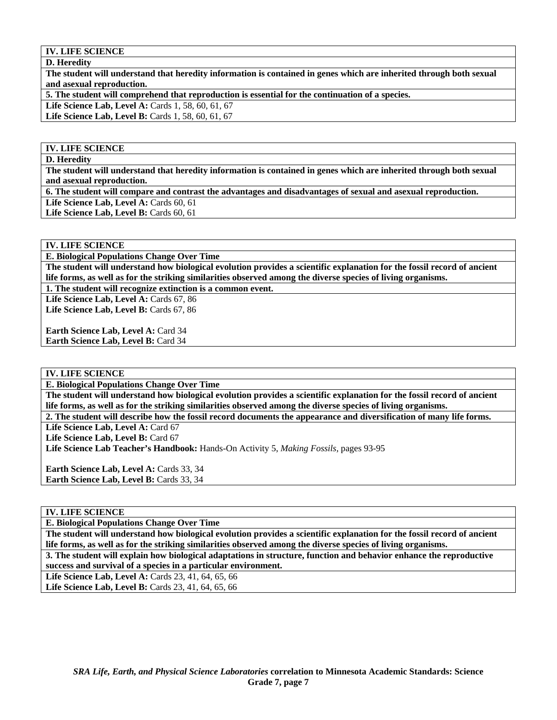**D. Heredity** 

**The student will understand that heredity information is contained in genes which are inherited through both sexual and asexual reproduction.** 

**5. The student will comprehend that reproduction is essential for the continuation of a species.** 

**Life Science Lab, Level A: Cards 1, 58, 60, 61, 67** 

Life Science Lab, Level B: Cards 1, 58, 60, 61, 67

#### **IV. LIFE SCIENCE**

#### **D. Heredity**

**The student will understand that heredity information is contained in genes which are inherited through both sexual and asexual reproduction.** 

**6. The student will compare and contrast the advantages and disadvantages of sexual and asexual reproduction.** 

Life Science Lab, Level A: Cards 60, 61

Life Science Lab, Level B: Cards 60, 61

#### **IV. LIFE SCIENCE**

**E. Biological Populations Change Over Time** 

**The student will understand how biological evolution provides a scientific explanation for the fossil record of ancient life forms, as well as for the striking similarities observed among the diverse species of living organisms.** 

**1. The student will recognize extinction is a common event.** 

Life Science Lab, Level A: Cards 67, 86 Life Science Lab, Level B: Cards 67, 86

**Earth Science Lab, Level A:** Card 34 **Earth Science Lab, Level B:** Card 34

**IV. LIFE SCIENCE** 

**E. Biological Populations Change Over Time** 

**The student will understand how biological evolution provides a scientific explanation for the fossil record of ancient life forms, as well as for the striking similarities observed among the diverse species of living organisms.** 

**2. The student will describe how the fossil record documents the appearance and diversification of many life forms.**  Life Science Lab, Level A: Card 67

Life Science Lab, Level B: Card 67

**Life Science Lab Teacher's Handbook:** Hands-On Activity 5, *Making Fossils,* pages 93-95

Earth Science Lab, Level A: Cards 33, 34 **Earth Science Lab, Level B: Cards 33, 34** 

## **IV. LIFE SCIENCE**

**E. Biological Populations Change Over Time** 

**The student will understand how biological evolution provides a scientific explanation for the fossil record of ancient life forms, as well as for the striking similarities observed among the diverse species of living organisms.** 

**3. The student will explain how biological adaptations in structure, function and behavior enhance the reproductive success and survival of a species in a particular environment.** 

**Life Science Lab, Level A: Cards 23, 41, 64, 65, 66** 

Life Science Lab, Level B: Cards 23, 41, 64, 65, 66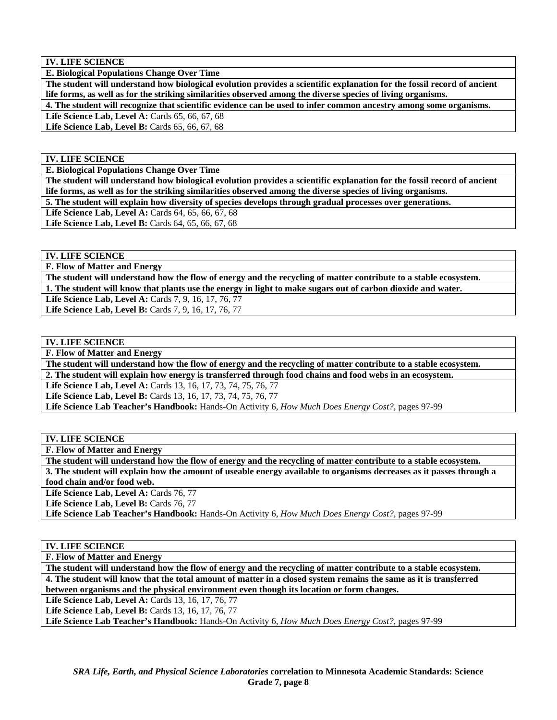**E. Biological Populations Change Over Time** 

**The student will understand how biological evolution provides a scientific explanation for the fossil record of ancient life forms, as well as for the striking similarities observed among the diverse species of living organisms.** 

**4. The student will recognize that scientific evidence can be used to infer common ancestry among some organisms.** 

Life Science Lab, Level A: Cards 65, 66, 67, 68 Life Science Lab, Level B: Cards 65, 66, 67, 68

**IV. LIFE SCIENCE** 

**E. Biological Populations Change Over Time** 

**The student will understand how biological evolution provides a scientific explanation for the fossil record of ancient life forms, as well as for the striking similarities observed among the diverse species of living organisms. 5. The student will explain how diversity of species develops through gradual processes over generations.** 

Life Science Lab, Level A: Cards 64, 65, 66, 67, 68

**Life Science Lab, Level B:** Cards 64, 65, 66, 67, 68

**IV. LIFE SCIENCE** 

**F. Flow of Matter and Energy** 

**The student will understand how the flow of energy and the recycling of matter contribute to a stable ecosystem.** 

**1. The student will know that plants use the energy in light to make sugars out of carbon dioxide and water.** 

Life Science Lab, Level A: Cards 7, 9, 16, 17, 76, 77

Life Science Lab, Level B: Cards 7, 9, 16, 17, 76, 77

# **IV. LIFE SCIENCE**

**F. Flow of Matter and Energy** 

**The student will understand how the flow of energy and the recycling of matter contribute to a stable ecosystem. 2. The student will explain how energy is transferred through food chains and food webs in an ecosystem.** 

**Life Science Lab, Level A:** Cards 13, 16, 17, 73, 74, 75, 76, 77 **Life Science Lab, Level B:** Cards 13, 16, 17, 73, 74, 75, 76, 77

**Life Science Lab Teacher's Handbook:** Hands-On Activity 6, *How Much Does Energy Cost?,* pages 97-99

**IV. LIFE SCIENCE** 

**F. Flow of Matter and Energy** 

**The student will understand how the flow of energy and the recycling of matter contribute to a stable ecosystem.** 

**3. The student will explain how the amount of useable energy available to organisms decreases as it passes through a food chain and/or food web.** 

Life Science Lab, Level A: Cards 76, 77

Life Science Lab, Level B: Cards 76, 77

**Life Science Lab Teacher's Handbook:** Hands-On Activity 6, *How Much Does Energy Cost?,* pages 97-99

#### **IV. LIFE SCIENCE**

**F. Flow of Matter and Energy** 

**The student will understand how the flow of energy and the recycling of matter contribute to a stable ecosystem. 4. The student will know that the total amount of matter in a closed system remains the same as it is transferred between organisms and the physical environment even though its location or form changes.** 

Life Science Lab, Level A: Cards 13, 16, 17, 76, 77

Life Science Lab, Level B: Cards 13, 16, 17, 76, 77

**Life Science Lab Teacher's Handbook:** Hands-On Activity 6, *How Much Does Energy Cost?,* pages 97-99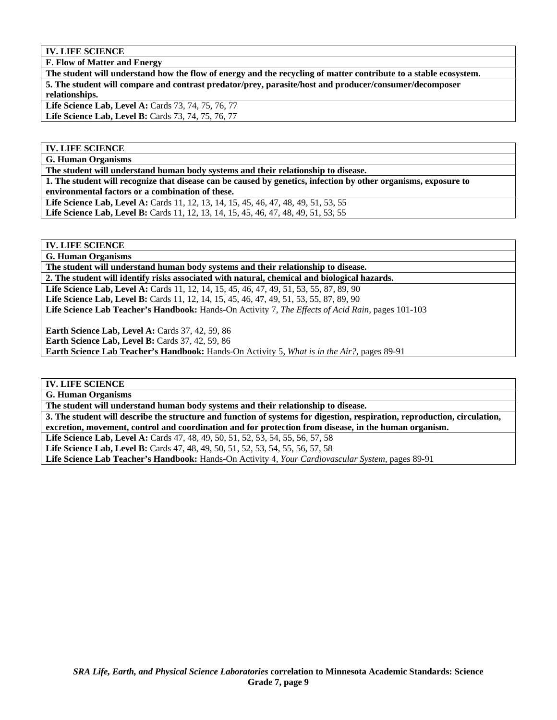**F. Flow of Matter and Energy** 

**The student will understand how the flow of energy and the recycling of matter contribute to a stable ecosystem. 5. The student will compare and contrast predator/prey, parasite/host and producer/consumer/decomposer relationships. Life Science Lab, Level A:** Cards 73, 74, 75, 76, 77 Life Science Lab, Level B: Cards 73, 74, 75, 76, 77

## **IV. LIFE SCIENCE**

**G. Human Organisms** 

**The student will understand human body systems and their relationship to disease.** 

**1. The student will recognize that disease can be caused by genetics, infection by other organisms, exposure to environmental factors or a combination of these.** 

Life Science Lab, Level A: Cards 11, 12, 13, 14, 15, 45, 46, 47, 48, 49, 51, 53, 55 **Life Science Lab, Level B:** Cards 11, 12, 13, 14, 15, 45, 46, 47, 48, 49, 51, 53, 55

# **IV. LIFE SCIENCE**

**G. Human Organisms** 

**The student will understand human body systems and their relationship to disease.** 

**2. The student will identify risks associated with natural, chemical and biological hazards.** 

**Life Science Lab, Level A:** Cards 11, 12, 14, 15, 45, 46, 47, 49, 51, 53, 55, 87, 89, 90 Life Science Lab, Level B: Cards 11, 12, 14, 15, 45, 46, 47, 49, 51, 53, 55, 87, 89, 90 **Life Science Lab Teacher's Handbook:** Hands-On Activity 7, *The Effects of Acid Rain,* pages 101-103

**Earth Science Lab, Level A:** Cards 37, 42, 59, 86 **Earth Science Lab, Level B: Cards 37, 42, 59, 86 Earth Science Lab Teacher's Handbook:** Hands-On Activity 5, *What is in the Air?,* pages 89-91

#### **IV. LIFE SCIENCE**

**G. Human Organisms** 

**The student will understand human body systems and their relationship to disease.** 

**3. The student will describe the structure and function of systems for digestion, respiration, reproduction, circulation, excretion, movement, control and coordination and for protection from disease, in the human organism.** 

**Life Science Lab, Level A:** Cards 47, 48, 49, 50, 51, 52, 53, 54, 55, 56, 57, 58

Life Science Lab, Level B: Cards 47, 48, 49, 50, 51, 52, 53, 54, 55, 56, 57, 58

**Life Science Lab Teacher's Handbook:** Hands-On Activity 4, *Your Cardiovascular System,* pages 89-91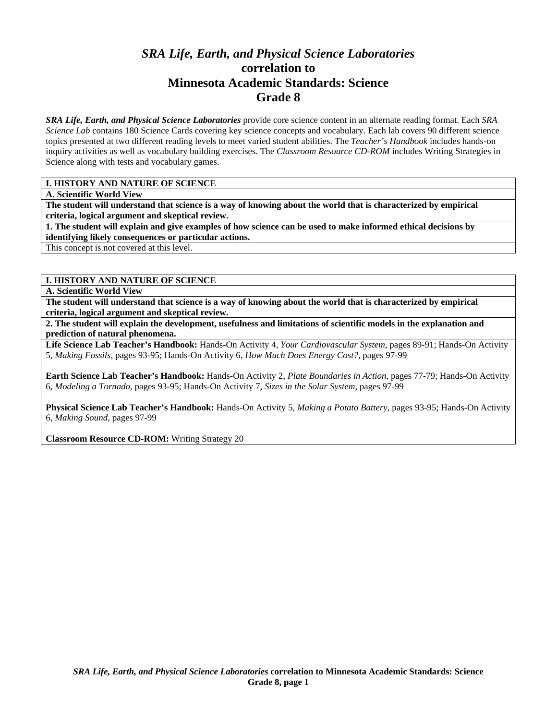# *SRA Life, Earth, and Physical Science Laboratories*  **correlation to Minnesota Academic Standards: Science Grade 8**

*SRA Life, Earth, and Physical Science Laboratories* provide core science content in an alternate reading format. Each *SRA Science Lab* contains 180 Science Cards covering key science concepts and vocabulary. Each lab covers 90 different science topics presented at two different reading levels to meet varied student abilities. The *Teacher's Handbook* includes hands-on inquiry activities as well as vocabulary building exercises. The *Classroom Resource CD-ROM* includes Writing Strategies in Science along with tests and vocabulary games.

#### **I. HISTORY AND NATURE OF SCIENCE**

**A. Scientific World View** 

**The student will understand that science is a way of knowing about the world that is characterized by empirical criteria, logical argument and skeptical review.** 

**1. The student will explain and give examples of how science can be used to make informed ethical decisions by identifying likely consequences or particular actions.** 

This concept is not covered at this level.

# **I. HISTORY AND NATURE OF SCIENCE**

**A. Scientific World View** 

**The student will understand that science is a way of knowing about the world that is characterized by empirical criteria, logical argument and skeptical review.** 

**2. The student will explain the development, usefulness and limitations of scientific models in the explanation and prediction of natural phenomena.** 

**Life Science Lab Teacher's Handbook:** Hands-On Activity 4, *Your Cardiovascular System,* pages 89-91; Hands-On Activity 5, *Making Fossils,* pages 93-95; Hands-On Activity 6, *How Much Does Energy Cost?,* pages 97-99

**Earth Science Lab Teacher's Handbook:** Hands-On Activity 2, *Plate Boundaries in Action,* pages 77-79; Hands-On Activity 6, *Modeling a Tornado,* pages 93-95; Hands-On Activity 7, *Sizes in the Solar System,* pages 97-99

**Physical Science Lab Teacher's Handbook:** Hands-On Activity 5, *Making a Potato Battery,* pages 93-95; Hands-On Activity 6, *Making Sound,* pages 97-99

**Classroom Resource CD-ROM:** Writing Strategy 20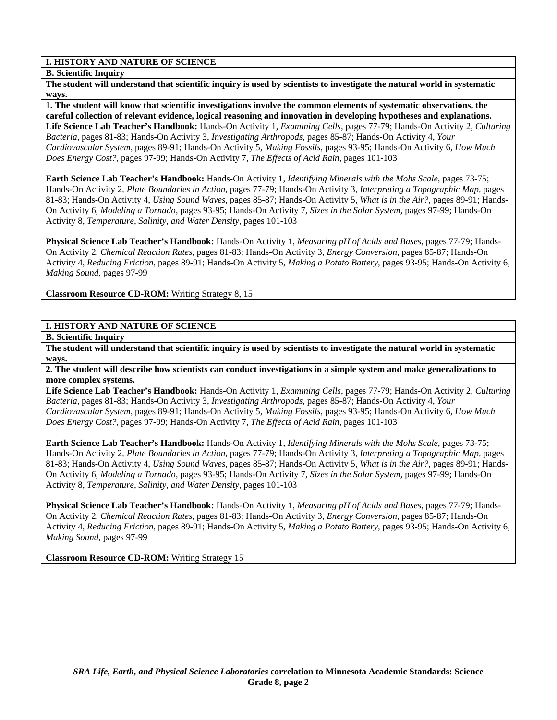#### **B. Scientific Inquiry**

**The student will understand that scientific inquiry is used by scientists to investigate the natural world in systematic ways.** 

**1. The student will know that scientific investigations involve the common elements of systematic observations, the careful collection of relevant evidence, logical reasoning and innovation in developing hypotheses and explanations.** 

**Life Science Lab Teacher's Handbook:** Hands-On Activity 1, *Examining Cells,* pages 77-79; Hands-On Activity 2, *Culturing Bacteria,* pages 81-83; Hands-On Activity 3, *Investigating Arthropods,* pages 85-87; Hands-On Activity 4, *Your Cardiovascular System,* pages 89-91; Hands-On Activity 5, *Making Fossils,* pages 93-95; Hands-On Activity 6, *How Much Does Energy Cost?,* pages 97-99; Hands-On Activity 7, *The Effects of Acid Rain,* pages 101-103

**Earth Science Lab Teacher's Handbook:** Hands-On Activity 1, *Identifying Minerals with the Mohs Scale,* pages 73-75; Hands-On Activity 2, *Plate Boundaries in Action,* pages 77-79; Hands-On Activity 3, *Interpreting a Topographic Map,* pages 81-83; Hands-On Activity 4, *Using Sound Waves,* pages 85-87; Hands-On Activity 5, *What is in the Air?,* pages 89-91; Hands-On Activity 6, *Modeling a Tornado,* pages 93-95; Hands-On Activity 7, *Sizes in the Solar System,* pages 97-99; Hands-On Activity 8, *Temperature, Salinity, and Water Density,* pages 101-103

**Physical Science Lab Teacher's Handbook:** Hands-On Activity 1, *Measuring pH of Acids and Bases,* pages 77-79; Hands-On Activity 2, *Chemical Reaction Rates,* pages 81-83; Hands-On Activity 3, *Energy Conversion,* pages 85-87; Hands-On Activity 4, *Reducing Friction,* pages 89-91; Hands-On Activity 5, *Making a Potato Battery,* pages 93-95; Hands-On Activity 6, *Making Sound,* pages 97-99

**Classroom Resource CD-ROM:** Writing Strategy 8, 15

# **I. HISTORY AND NATURE OF SCIENCE**

**B. Scientific Inquiry** 

**The student will understand that scientific inquiry is used by scientists to investigate the natural world in systematic ways.** 

**2. The student will describe how scientists can conduct investigations in a simple system and make generalizations to more complex systems.** 

**Life Science Lab Teacher's Handbook:** Hands-On Activity 1, *Examining Cells,* pages 77-79; Hands-On Activity 2, *Culturing Bacteria,* pages 81-83; Hands-On Activity 3, *Investigating Arthropods,* pages 85-87; Hands-On Activity 4, *Your Cardiovascular System,* pages 89-91; Hands-On Activity 5, *Making Fossils,* pages 93-95; Hands-On Activity 6, *How Much Does Energy Cost?,* pages 97-99; Hands-On Activity 7, *The Effects of Acid Rain,* pages 101-103

**Earth Science Lab Teacher's Handbook:** Hands-On Activity 1, *Identifying Minerals with the Mohs Scale,* pages 73-75; Hands-On Activity 2, *Plate Boundaries in Action,* pages 77-79; Hands-On Activity 3, *Interpreting a Topographic Map,* pages 81-83; Hands-On Activity 4, *Using Sound Waves,* pages 85-87; Hands-On Activity 5, *What is in the Air?,* pages 89-91; Hands-On Activity 6, *Modeling a Tornado,* pages 93-95; Hands-On Activity 7, *Sizes in the Solar System,* pages 97-99; Hands-On Activity 8, *Temperature, Salinity, and Water Density,* pages 101-103

**Physical Science Lab Teacher's Handbook:** Hands-On Activity 1, *Measuring pH of Acids and Bases,* pages 77-79; Hands-On Activity 2, *Chemical Reaction Rates,* pages 81-83; Hands-On Activity 3, *Energy Conversion,* pages 85-87; Hands-On Activity 4, *Reducing Friction,* pages 89-91; Hands-On Activity 5, *Making a Potato Battery,* pages 93-95; Hands-On Activity 6, *Making Sound,* pages 97-99

**Classroom Resource CD-ROM:** Writing Strategy 15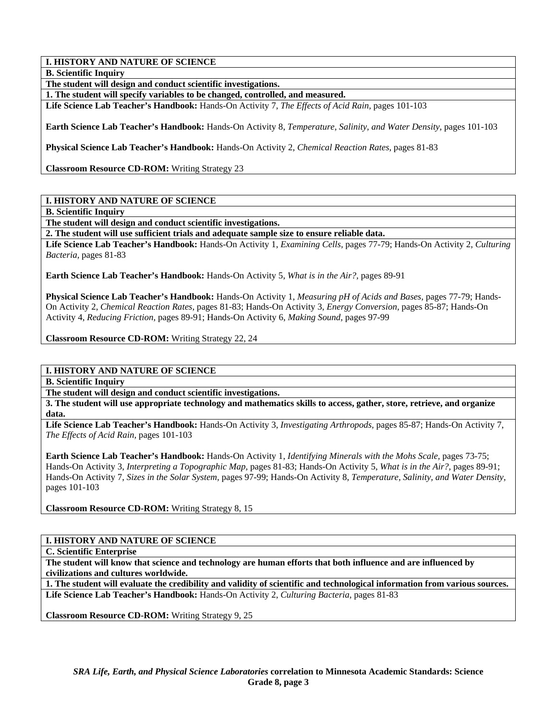**B. Scientific Inquiry** 

**The student will design and conduct scientific investigations.** 

**1. The student will specify variables to be changed, controlled, and measured.** 

**Life Science Lab Teacher's Handbook:** Hands-On Activity 7, *The Effects of Acid Rain,* pages 101-103

**Earth Science Lab Teacher's Handbook:** Hands-On Activity 8, *Temperature, Salinity, and Water Density,* pages 101-103

**Physical Science Lab Teacher's Handbook:** Hands-On Activity 2, *Chemical Reaction Rates,* pages 81-83

**Classroom Resource CD-ROM:** Writing Strategy 23

## **I. HISTORY AND NATURE OF SCIENCE**

**B. Scientific Inquiry** 

**The student will design and conduct scientific investigations.** 

**2. The student will use sufficient trials and adequate sample size to ensure reliable data.** 

**Life Science Lab Teacher's Handbook:** Hands-On Activity 1, *Examining Cells,* pages 77-79; Hands-On Activity 2, *Culturing Bacteria,* pages 81-83

**Earth Science Lab Teacher's Handbook:** Hands-On Activity 5, *What is in the Air?,* pages 89-91

**Physical Science Lab Teacher's Handbook:** Hands-On Activity 1, *Measuring pH of Acids and Bases,* pages 77-79; Hands-On Activity 2, *Chemical Reaction Rates,* pages 81-83; Hands-On Activity 3, *Energy Conversion,* pages 85-87; Hands-On Activity 4, *Reducing Friction,* pages 89-91; Hands-On Activity 6, *Making Sound,* pages 97-99

**Classroom Resource CD-ROM:** Writing Strategy 22, 24

# **I. HISTORY AND NATURE OF SCIENCE**

**B. Scientific Inquiry** 

**The student will design and conduct scientific investigations.** 

**3. The student will use appropriate technology and mathematics skills to access, gather, store, retrieve, and organize data.** 

**Life Science Lab Teacher's Handbook:** Hands-On Activity 3, *Investigating Arthropods,* pages 85-87; Hands-On Activity 7, *The Effects of Acid Rain,* pages 101-103

**Earth Science Lab Teacher's Handbook:** Hands-On Activity 1, *Identifying Minerals with the Mohs Scale,* pages 73-75; Hands-On Activity 3, *Interpreting a Topographic Map,* pages 81-83; Hands-On Activity 5, *What is in the Air?,* pages 89-91; Hands-On Activity 7, *Sizes in the Solar System,* pages 97-99; Hands-On Activity 8, *Temperature, Salinity, and Water Density,* pages 101-103

**Classroom Resource CD-ROM:** Writing Strategy 8, 15

#### **I. HISTORY AND NATURE OF SCIENCE**

**C. Scientific Enterprise** 

**The student will know that science and technology are human efforts that both influence and are influenced by civilizations and cultures worldwide.** 

**1. The student will evaluate the credibility and validity of scientific and technological information from various sources. Life Science Lab Teacher's Handbook:** Hands-On Activity 2, *Culturing Bacteria,* pages 81-83

**Classroom Resource CD-ROM:** Writing Strategy 9, 25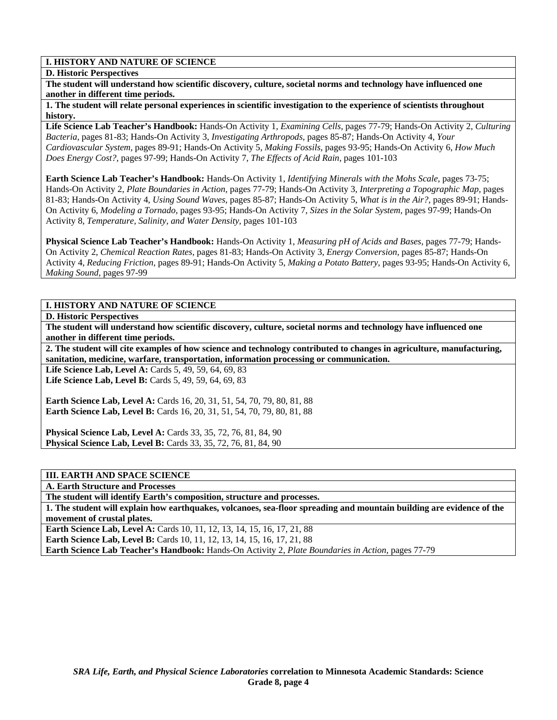#### **D. Historic Perspectives**

**The student will understand how scientific discovery, culture, societal norms and technology have influenced one another in different time periods.** 

**1. The student will relate personal experiences in scientific investigation to the experience of scientists throughout history.** 

**Life Science Lab Teacher's Handbook:** Hands-On Activity 1, *Examining Cells,* pages 77-79; Hands-On Activity 2, *Culturing Bacteria,* pages 81-83; Hands-On Activity 3, *Investigating Arthropods,* pages 85-87; Hands-On Activity 4, *Your Cardiovascular System,* pages 89-91; Hands-On Activity 5, *Making Fossils,* pages 93-95; Hands-On Activity 6, *How Much Does Energy Cost?,* pages 97-99; Hands-On Activity 7, *The Effects of Acid Rain,* pages 101-103

**Earth Science Lab Teacher's Handbook:** Hands-On Activity 1, *Identifying Minerals with the Mohs Scale,* pages 73-75; Hands-On Activity 2, *Plate Boundaries in Action,* pages 77-79; Hands-On Activity 3, *Interpreting a Topographic Map,* pages 81-83; Hands-On Activity 4, *Using Sound Waves,* pages 85-87; Hands-On Activity 5, *What is in the Air?,* pages 89-91; Hands-On Activity 6, *Modeling a Tornado,* pages 93-95; Hands-On Activity 7, *Sizes in the Solar System,* pages 97-99; Hands-On Activity 8, *Temperature, Salinity, and Water Density,* pages 101-103

**Physical Science Lab Teacher's Handbook:** Hands-On Activity 1, *Measuring pH of Acids and Bases,* pages 77-79; Hands-On Activity 2, *Chemical Reaction Rates,* pages 81-83; Hands-On Activity 3, *Energy Conversion,* pages 85-87; Hands-On Activity 4, *Reducing Friction,* pages 89-91; Hands-On Activity 5, *Making a Potato Battery,* pages 93-95; Hands-On Activity 6, *Making Sound,* pages 97-99

# **I. HISTORY AND NATURE OF SCIENCE**

**D. Historic Perspectives** 

**The student will understand how scientific discovery, culture, societal norms and technology have influenced one another in different time periods.** 

**2. The student will cite examples of how science and technology contributed to changes in agriculture, manufacturing, sanitation, medicine, warfare, transportation, information processing or communication.** 

Life Science Lab, Level A: Cards 5, 49, 59, 64, 69, 83 Life Science Lab, Level B: Cards 5, 49, 59, 64, 69, 83

**Earth Science Lab, Level A: Cards 16, 20, 31, 51, 54, 70, 79, 80, 81, 88 Earth Science Lab, Level B:** Cards 16, 20, 31, 51, 54, 70, 79, 80, 81, 88

**Physical Science Lab, Level A:** Cards 33, 35, 72, 76, 81, 84, 90 **Physical Science Lab, Level B:** Cards 33, 35, 72, 76, 81, 84, 90

## **III. EARTH AND SPACE SCIENCE**

**A. Earth Structure and Processes** 

**The student will identify Earth's composition, structure and processes.** 

**1. The student will explain how earthquakes, volcanoes, sea-floor spreading and mountain building are evidence of the movement of crustal plates.** 

**Earth Science Lab, Level A: Cards 10, 11, 12, 13, 14, 15, 16, 17, 21, 88 Earth Science Lab, Level B:** Cards 10, 11, 12, 13, 14, 15, 16, 17, 21, 88

**Earth Science Lab Teacher's Handbook:** Hands-On Activity 2, *Plate Boundaries in Action,* pages 77-79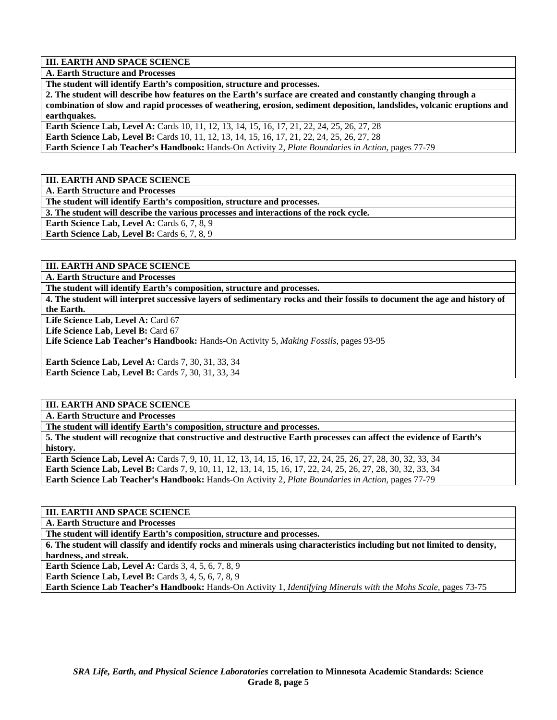**A. Earth Structure and Processes** 

**The student will identify Earth's composition, structure and processes.** 

**2. The student will describe how features on the Earth's surface are created and constantly changing through a combination of slow and rapid processes of weathering, erosion, sediment deposition, landslides, volcanic eruptions and earthquakes.** 

Earth Science Lab, Level A: Cards 10, 11, 12, 13, 14, 15, 16, 17, 21, 22, 24, 25, 26, 27, 28 **Earth Science Lab, Level B:** Cards 10, 11, 12, 13, 14, 15, 16, 17, 21, 22, 24, 25, 26, 27, 28 **Earth Science Lab Teacher's Handbook:** Hands-On Activity 2, *Plate Boundaries in Action,* pages 77-79

**III. EARTH AND SPACE SCIENCE** 

**A. Earth Structure and Processes** 

**The student will identify Earth's composition, structure and processes.** 

**3. The student will describe the various processes and interactions of the rock cycle.** 

**Earth Science Lab, Level A: Cards 6, 7, 8, 9** 

**Earth Science Lab, Level B:** Cards 6, 7, 8, 9

**III. EARTH AND SPACE SCIENCE** 

**A. Earth Structure and Processes** 

**The student will identify Earth's composition, structure and processes.** 

**4. The student will interpret successive layers of sedimentary rocks and their fossils to document the age and history of the Earth.** 

Life Science Lab, Level A: Card 67

Life Science Lab, Level B: Card 67

**Life Science Lab Teacher's Handbook:** Hands-On Activity 5, *Making Fossils,* pages 93-95

**Earth Science Lab, Level A: Cards 7, 30, 31, 33, 34 Earth Science Lab, Level B: Cards 7, 30, 31, 33, 34** 

## **III. EARTH AND SPACE SCIENCE**

**A. Earth Structure and Processes** 

**The student will identify Earth's composition, structure and processes.** 

**5. The student will recognize that constructive and destructive Earth processes can affect the evidence of Earth's history.** 

**Earth Science Lab, Level A:** Cards 7, 9, 10, 11, 12, 13, 14, 15, 16, 17, 22, 24, 25, 26, 27, 28, 30, 32, 33, 34 **Earth Science Lab, Level B:** Cards 7, 9, 10, 11, 12, 13, 14, 15, 16, 17, 22, 24, 25, 26, 27, 28, 30, 32, 33, 34 **Earth Science Lab Teacher's Handbook:** Hands-On Activity 2, *Plate Boundaries in Action,* pages 77-79

## **III. EARTH AND SPACE SCIENCE**

**A. Earth Structure and Processes** 

**The student will identify Earth's composition, structure and processes.** 

**6. The student will classify and identify rocks and minerals using characteristics including but not limited to density, hardness, and streak.** 

**Earth Science Lab, Level A: Cards 3, 4, 5, 6, 7, 8, 9** 

**Earth Science Lab, Level B:** Cards 3, 4, 5, 6, 7, 8, 9

**Earth Science Lab Teacher's Handbook:** Hands-On Activity 1, *Identifying Minerals with the Mohs Scale,* pages 73-75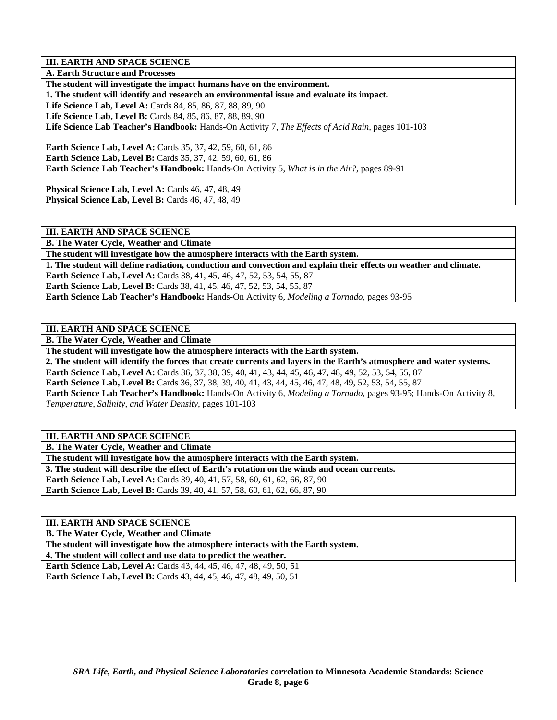**A. Earth Structure and Processes** 

**The student will investigate the impact humans have on the environment.** 

**1. The student will identify and research an environmental issue and evaluate its impact.** 

**Life Science Lab, Level A:** Cards 84, 85, 86, 87, 88, 89, 90 **Life Science Lab, Level B:** Cards 84, 85, 86, 87, 88, 89, 90 **Life Science Lab Teacher's Handbook:** Hands-On Activity 7, *The Effects of Acid Rain,* pages 101-103

**Earth Science Lab, Level A: Cards 35, 37, 42, 59, 60, 61, 86 Earth Science Lab, Level B:** Cards 35, 37, 42, 59, 60, 61, 86 **Earth Science Lab Teacher's Handbook:** Hands-On Activity 5, *What is in the Air?,* pages 89-91

**Physical Science Lab, Level A:** Cards 46, 47, 48, 49 **Physical Science Lab, Level B: Cards 46, 47, 48, 49** 

**III. EARTH AND SPACE SCIENCE** 

**B. The Water Cycle, Weather and Climate The student will investigate how the atmosphere interacts with the Earth system. 1. The student will define radiation, conduction and convection and explain their effects on weather and climate. Earth Science Lab, Level A: Cards 38, 41, 45, 46, 47, 52, 53, 54, 55, 87 Earth Science Lab, Level B:** Cards 38, 41, 45, 46, 47, 52, 53, 54, 55, 87 **Earth Science Lab Teacher's Handbook:** Hands-On Activity 6, *Modeling a Tornado,* pages 93-95

**III. EARTH AND SPACE SCIENCE** 

**B. The Water Cycle, Weather and Climate** 

**The student will investigate how the atmosphere interacts with the Earth system.** 

**2. The student will identify the forces that create currents and layers in the Earth's atmosphere and water systems. Earth Science Lab, Level A:** Cards 36, 37, 38, 39, 40, 41, 43, 44, 45, 46, 47, 48, 49, 52, 53, 54, 55, 87 **Earth Science Lab, Level B:** Cards 36, 37, 38, 39, 40, 41, 43, 44, 45, 46, 47, 48, 49, 52, 53, 54, 55, 87 **Earth Science Lab Teacher's Handbook:** Hands-On Activity 6, *Modeling a Tornado,* pages 93-95; Hands-On Activity 8,

*Temperature, Salinity, and Water Density,* pages 101-103

**III. EARTH AND SPACE SCIENCE** 

**B. The Water Cycle, Weather and Climate The student will investigate how the atmosphere interacts with the Earth system.** 

**3. The student will describe the effect of Earth's rotation on the winds and ocean currents.** 

**Earth Science Lab, Level A:** Cards 39, 40, 41, 57, 58, 60, 61, 62, 66, 87, 90

**Earth Science Lab, Level B:** Cards 39, 40, 41, 57, 58, 60, 61, 62, 66, 87, 90

**III. EARTH AND SPACE SCIENCE** 

**B. The Water Cycle, Weather and Climate** 

**The student will investigate how the atmosphere interacts with the Earth system.** 

**4. The student will collect and use data to predict the weather.** 

**Earth Science Lab, Level A: Cards 43, 44, 45, 46, 47, 48, 49, 50, 51 Earth Science Lab, Level B:** Cards 43, 44, 45, 46, 47, 48, 49, 50, 51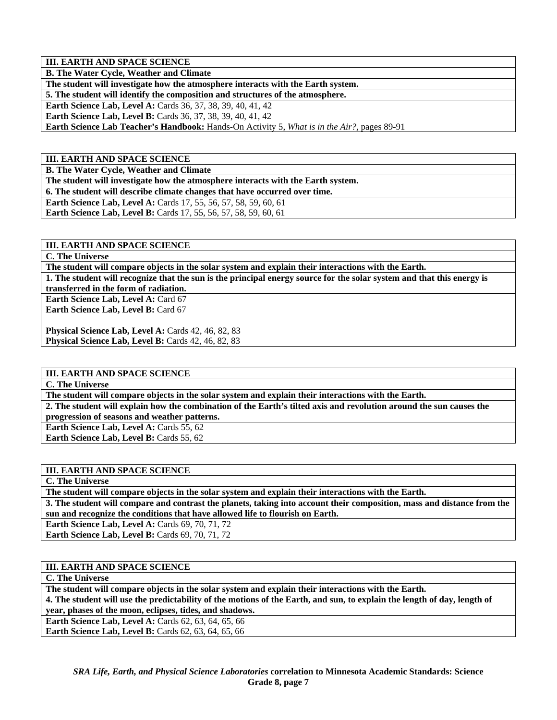**B. The Water Cycle, Weather and Climate** 

**The student will investigate how the atmosphere interacts with the Earth system.** 

**5. The student will identify the composition and structures of the atmosphere.** 

**Earth Science Lab, Level A:** Cards 36, 37, 38, 39, 40, 41, 42

**Earth Science Lab, Level B:** Cards 36, 37, 38, 39, 40, 41, 42

**Earth Science Lab Teacher's Handbook:** Hands-On Activity 5, *What is in the Air?,* pages 89-91

**III. EARTH AND SPACE SCIENCE** 

**B. The Water Cycle, Weather and Climate** 

**The student will investigate how the atmosphere interacts with the Earth system.** 

**6. The student will describe climate changes that have occurred over time.** 

**Earth Science Lab, Level A:** Cards 17, 55, 56, 57, 58, 59, 60, 61

**Earth Science Lab, Level B:** Cards 17, 55, 56, 57, 58, 59, 60, 61

**III. EARTH AND SPACE SCIENCE** 

**C. The Universe** 

**The student will compare objects in the solar system and explain their interactions with the Earth.** 

**1. The student will recognize that the sun is the principal energy source for the solar system and that this energy is transferred in the form of radiation.** 

**Earth Science Lab, Level A: Card 67** Earth Science Lab, Level B: Card 67

Physical Science Lab, Level A: Cards 42, 46, 82, 83 Physical Science Lab, Level B: Cards 42, 46, 82, 83

**III. EARTH AND SPACE SCIENCE** 

**C. The Universe** 

**The student will compare objects in the solar system and explain their interactions with the Earth.** 

**2. The student will explain how the combination of the Earth's tilted axis and revolution around the sun causes the progression of seasons and weather patterns.** 

**Earth Science Lab, Level A: Cards 55, 62** 

**Earth Science Lab, Level B: Cards 55, 62** 

# **III. EARTH AND SPACE SCIENCE**

**C. The Universe** 

**The student will compare objects in the solar system and explain their interactions with the Earth.** 

**3. The student will compare and contrast the planets, taking into account their composition, mass and distance from the sun and recognize the conditions that have allowed life to flourish on Earth.** 

**Earth Science Lab, Level A: Cards 69, 70, 71, 72** 

**Earth Science Lab, Level B: Cards 69, 70, 71, 72** 

**III. EARTH AND SPACE SCIENCE** 

**C. The Universe** 

**The student will compare objects in the solar system and explain their interactions with the Earth.** 

**4. The student will use the predictability of the motions of the Earth, and sun, to explain the length of day, length of year, phases of the moon, eclipses, tides, and shadows.** 

**Earth Science Lab, Level A: Cards 62, 63, 64, 65, 66** 

**Earth Science Lab, Level B:** Cards 62, 63, 64, 65, 66